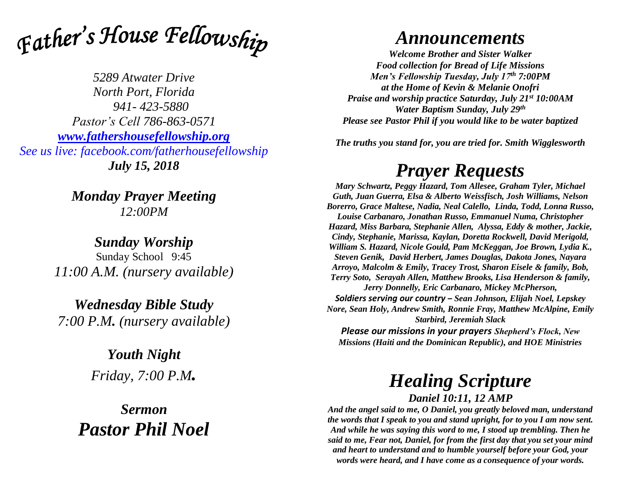

*5289 Atwater Drive North Port, Florida 941- 423-5880 Pastor's Cell 786-863-0571 [www.fathershousefellowship.org](http://www.fathershousefellowship.org/) See us live: facebook.com/fatherhousefellowship July 15, 2018*

> *Monday Prayer Meeting 12:00PM*

*Sunday Worship* Sunday School 9:45 *11:00 A.M. (nursery available)*

*Wednesday Bible Study 7:00 P.M. (nursery available)*

> *Youth Night Friday, 7:00 P.M.*

*Sermon Pastor Phil Noel*

## *Announcements*

*Welcome Brother and Sister Walker Food collection for Bread of Life Missions Men's Fellowship Tuesday, July 17th 7:00PM at the Home of Kevin & Melanie Onofri Praise and worship practice Saturday, July 21st 10:00AM Water Baptism Sunday, July 29th Please see Pastor Phil if you would like to be water baptized*

*The truths you stand for, you are tried for. Smith Wigglesworth*

## *Prayer Requests*

*Mary Schwartz, Peggy Hazard, Tom Allesee, Graham Tyler, Michael Guth, Juan Guerra, Elsa & Alberto Weissfisch, Josh Williams, Nelson Borerro, Grace Maltese, Nadia, Neal Calello, Linda, Todd, Lonna Russo, Louise Carbanaro, Jonathan Russo, Emmanuel Numa, Christopher Hazard, Miss Barbara, Stephanie Allen, Alyssa, Eddy & mother, Jackie, Cindy, Stephanie, Marissa, Kaylan, Doretta Rockwell, David Merigold, William S. Hazard, Nicole Gould, Pam McKeggan, Joe Brown, Lydia K., Steven Genik, David Herbert, James Douglas, Dakota Jones, Nayara Arroyo, Malcolm & Emily, Tracey Trost, Sharon Eisele & family, Bob, Terry Soto, Serayah Allen, Matthew Brooks, Lisa Henderson & family, Jerry Donnelly, Eric Carbanaro, Mickey McPherson, Soldiers serving our country – Sean Johnson, Elijah Noel, Lepskey Nore, Sean Holy, Andrew Smith, Ronnie Fray, Matthew McAlpine, Emily Starbird, Jeremiah Slack Please our missions in your prayers Shepherd's Flock, New* 

*Missions (Haiti and the Dominican Republic), and HOE Ministries*

## *Healing Scripture*

*Daniel 10:11, 12 AMP*

*And the angel said to me, O Daniel, you greatly beloved man, understand the words that I speak to you and stand upright, for to you I am now sent. And while he was saying this word to me, I stood up trembling. Then he said to me, Fear not, Daniel, for from the first day that you set your mind and heart to understand and to humble yourself before your God, your words were heard, and I have come as a consequence of your words.*